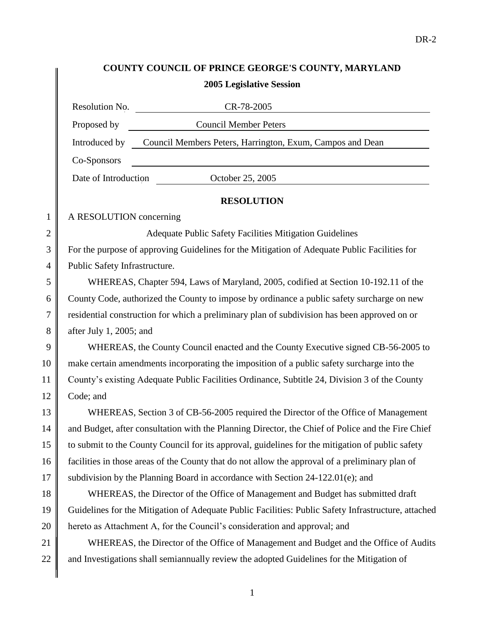# **COUNTY COUNCIL OF PRINCE GEORGE'S COUNTY, MARYLAND 2005 Legislative Session**

|                | Resolution No.<br>CR-78-2005                                                                        |  |  |
|----------------|-----------------------------------------------------------------------------------------------------|--|--|
|                | Proposed by<br><b>Council Member Peters</b>                                                         |  |  |
|                | Council Members Peters, Harrington, Exum, Campos and Dean<br>Introduced by                          |  |  |
|                | Co-Sponsors                                                                                         |  |  |
|                | October 25, 2005<br>Date of Introduction                                                            |  |  |
|                | <b>RESOLUTION</b>                                                                                   |  |  |
| $\mathbf{1}$   | A RESOLUTION concerning                                                                             |  |  |
| $\overline{2}$ | Adequate Public Safety Facilities Mitigation Guidelines                                             |  |  |
| 3              | For the purpose of approving Guidelines for the Mitigation of Adequate Public Facilities for        |  |  |
| $\overline{4}$ | Public Safety Infrastructure.                                                                       |  |  |
| 5              | WHEREAS, Chapter 594, Laws of Maryland, 2005, codified at Section 10-192.11 of the                  |  |  |
| 6              | County Code, authorized the County to impose by ordinance a public safety surcharge on new          |  |  |
| 7              | residential construction for which a preliminary plan of subdivision has been approved on or        |  |  |
| 8              | after July 1, 2005; and                                                                             |  |  |
| 9              | WHEREAS, the County Council enacted and the County Executive signed CB-56-2005 to                   |  |  |
| 10             | make certain amendments incorporating the imposition of a public safety surcharge into the          |  |  |
| 11             | County's existing Adequate Public Facilities Ordinance, Subtitle 24, Division 3 of the County       |  |  |
| 12             | Code; and                                                                                           |  |  |
| 13             | WHEREAS, Section 3 of CB-56-2005 required the Director of the Office of Management                  |  |  |
| 14             | and Budget, after consultation with the Planning Director, the Chief of Police and the Fire Chief   |  |  |
| 15             | to submit to the County Council for its approval, guidelines for the mitigation of public safety    |  |  |
| 16             | facilities in those areas of the County that do not allow the approval of a preliminary plan of     |  |  |
| 17             | subdivision by the Planning Board in accordance with Section 24-122.01(e); and                      |  |  |
| 18             | WHEREAS, the Director of the Office of Management and Budget has submitted draft                    |  |  |
| 19             | Guidelines for the Mitigation of Adequate Public Facilities: Public Safety Infrastructure, attached |  |  |
| 20             | hereto as Attachment A, for the Council's consideration and approval; and                           |  |  |
| 21             | WHEREAS, the Director of the Office of Management and Budget and the Office of Audits               |  |  |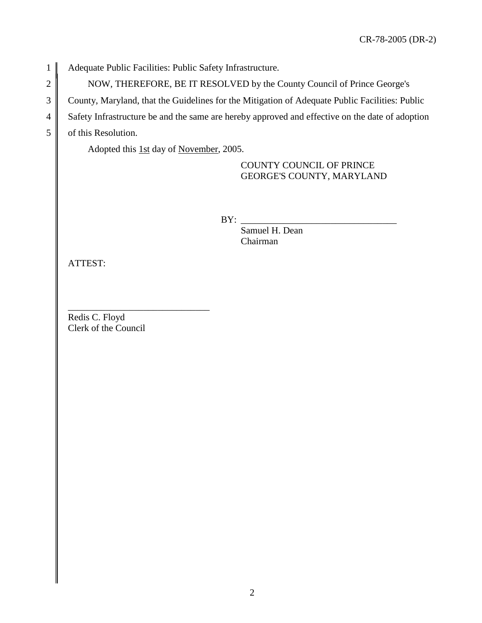1 Adequate Public Facilities: Public Safety Infrastructure.

2 NOW, THEREFORE, BE IT RESOLVED by the County Council of Prince George's

3 County, Maryland, that the Guidelines for the Mitigation of Adequate Public Facilities: Public

4 Safety Infrastructure be and the same are hereby approved and effective on the date of adoption

5 of this Resolution.

Adopted this 1st day of November, 2005.

COUNTY COUNCIL OF PRINCE GEORGE'S COUNTY, MARYLAND

 $BY:$ 

Samuel H. Dean Chairman

ATTEST:

Redis C. Floyd Clerk of the Council

\_\_\_\_\_\_\_\_\_\_\_\_\_\_\_\_\_\_\_\_\_\_\_\_\_\_\_\_\_\_

2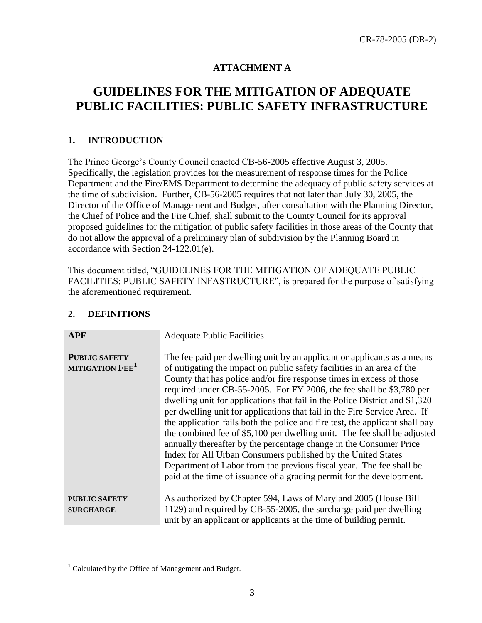# **ATTACHMENT A**

# **GUIDELINES FOR THE MITIGATION OF ADEQUATE PUBLIC FACILITIES: PUBLIC SAFETY INFRASTRUCTURE**

## **1. INTRODUCTION**

The Prince George's County Council enacted CB-56-2005 effective August 3, 2005. Specifically, the legislation provides for the measurement of response times for the Police Department and the Fire/EMS Department to determine the adequacy of public safety services at the time of subdivision. Further, CB-56-2005 requires that not later than July 30, 2005, the Director of the Office of Management and Budget, after consultation with the Planning Director, the Chief of Police and the Fire Chief, shall submit to the County Council for its approval proposed guidelines for the mitigation of public safety facilities in those areas of the County that do not allow the approval of a preliminary plan of subdivision by the Planning Board in accordance with Section 24-122.01(e).

This document titled, "GUIDELINES FOR THE MITIGATION OF ADEQUATE PUBLIC FACILITIES: PUBLIC SAFETY INFASTRUCTURE", is prepared for the purpose of satisfying the aforementioned requirement.

#### **2. DEFINITIONS**

| <b>APF</b>                                          | <b>Adequate Public Facilities</b>                                                                                                                                                                                                                                                                                                                                                                                                                                                                                                                                                                                                                                                                                                                                                                                                                                                                               |
|-----------------------------------------------------|-----------------------------------------------------------------------------------------------------------------------------------------------------------------------------------------------------------------------------------------------------------------------------------------------------------------------------------------------------------------------------------------------------------------------------------------------------------------------------------------------------------------------------------------------------------------------------------------------------------------------------------------------------------------------------------------------------------------------------------------------------------------------------------------------------------------------------------------------------------------------------------------------------------------|
| <b>PUBLIC SAFETY</b><br>MITIGATION FEE <sup>1</sup> | The fee paid per dwelling unit by an applicant or applicants as a means<br>of mitigating the impact on public safety facilities in an area of the<br>County that has police and/or fire response times in excess of those<br>required under CB-55-2005. For FY 2006, the fee shall be \$3,780 per<br>dwelling unit for applications that fail in the Police District and \$1,320<br>per dwelling unit for applications that fail in the Fire Service Area. If<br>the application fails both the police and fire test, the applicant shall pay<br>the combined fee of \$5,100 per dwelling unit. The fee shall be adjusted<br>annually thereafter by the percentage change in the Consumer Price<br>Index for All Urban Consumers published by the United States<br>Department of Labor from the previous fiscal year. The fee shall be<br>paid at the time of issuance of a grading permit for the development. |
| <b>PUBLIC SAFETY</b><br><b>SURCHARGE</b>            | As authorized by Chapter 594, Laws of Maryland 2005 (House Bill<br>1129) and required by CB-55-2005, the surcharge paid per dwelling<br>unit by an applicant or applicants at the time of building permit.                                                                                                                                                                                                                                                                                                                                                                                                                                                                                                                                                                                                                                                                                                      |

 $\overline{a}$ 

<sup>&</sup>lt;sup>1</sup> Calculated by the Office of Management and Budget.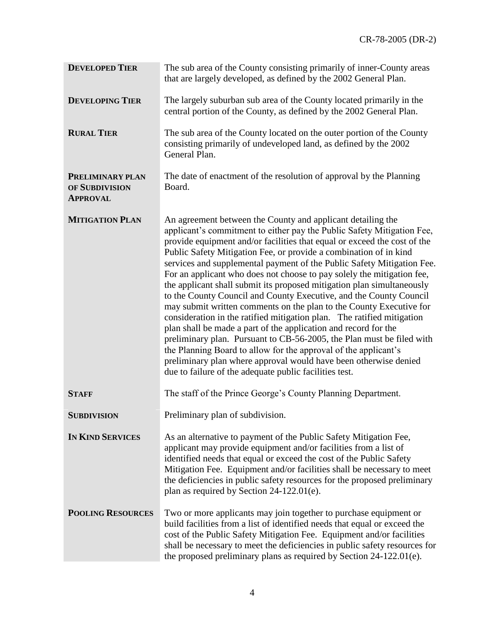| <b>DEVELOPED TIER</b>                                 | The sub area of the County consisting primarily of inner-County areas<br>that are largely developed, as defined by the 2002 General Plan.                                                                                                                                                                                                                                                                                                                                                                                                                                                                                                                                                                                                                                                                                                                                                                                                                                                                                                                                                |
|-------------------------------------------------------|------------------------------------------------------------------------------------------------------------------------------------------------------------------------------------------------------------------------------------------------------------------------------------------------------------------------------------------------------------------------------------------------------------------------------------------------------------------------------------------------------------------------------------------------------------------------------------------------------------------------------------------------------------------------------------------------------------------------------------------------------------------------------------------------------------------------------------------------------------------------------------------------------------------------------------------------------------------------------------------------------------------------------------------------------------------------------------------|
| <b>DEVELOPING TIER</b>                                | The largely suburban sub area of the County located primarily in the<br>central portion of the County, as defined by the 2002 General Plan.                                                                                                                                                                                                                                                                                                                                                                                                                                                                                                                                                                                                                                                                                                                                                                                                                                                                                                                                              |
| <b>RURAL TIER</b>                                     | The sub area of the County located on the outer portion of the County<br>consisting primarily of undeveloped land, as defined by the 2002<br>General Plan.                                                                                                                                                                                                                                                                                                                                                                                                                                                                                                                                                                                                                                                                                                                                                                                                                                                                                                                               |
| PRELIMINARY PLAN<br>OF SUBDIVISION<br><b>APPROVAL</b> | The date of enactment of the resolution of approval by the Planning<br>Board.                                                                                                                                                                                                                                                                                                                                                                                                                                                                                                                                                                                                                                                                                                                                                                                                                                                                                                                                                                                                            |
| <b>MITIGATION PLAN</b>                                | An agreement between the County and applicant detailing the<br>applicant's commitment to either pay the Public Safety Mitigation Fee,<br>provide equipment and/or facilities that equal or exceed the cost of the<br>Public Safety Mitigation Fee, or provide a combination of in kind<br>services and supplemental payment of the Public Safety Mitigation Fee.<br>For an applicant who does not choose to pay solely the mitigation fee,<br>the applicant shall submit its proposed mitigation plan simultaneously<br>to the County Council and County Executive, and the County Council<br>may submit written comments on the plan to the County Executive for<br>consideration in the ratified mitigation plan. The ratified mitigation<br>plan shall be made a part of the application and record for the<br>preliminary plan. Pursuant to CB-56-2005, the Plan must be filed with<br>the Planning Board to allow for the approval of the applicant's<br>preliminary plan where approval would have been otherwise denied<br>due to failure of the adequate public facilities test. |
| <b>STAFF</b>                                          | The staff of the Prince George's County Planning Department.                                                                                                                                                                                                                                                                                                                                                                                                                                                                                                                                                                                                                                                                                                                                                                                                                                                                                                                                                                                                                             |
| <b>SUBDIVISION</b>                                    | Preliminary plan of subdivision.                                                                                                                                                                                                                                                                                                                                                                                                                                                                                                                                                                                                                                                                                                                                                                                                                                                                                                                                                                                                                                                         |
| <b>IN KIND SERVICES</b>                               | As an alternative to payment of the Public Safety Mitigation Fee,<br>applicant may provide equipment and/or facilities from a list of<br>identified needs that equal or exceed the cost of the Public Safety<br>Mitigation Fee. Equipment and/or facilities shall be necessary to meet<br>the deficiencies in public safety resources for the proposed preliminary<br>plan as required by Section 24-122.01(e).                                                                                                                                                                                                                                                                                                                                                                                                                                                                                                                                                                                                                                                                          |
| <b>POOLING RESOURCES</b>                              | Two or more applicants may join together to purchase equipment or<br>build facilities from a list of identified needs that equal or exceed the<br>cost of the Public Safety Mitigation Fee. Equipment and/or facilities<br>shall be necessary to meet the deficiencies in public safety resources for<br>the proposed preliminary plans as required by Section 24-122.01(e).                                                                                                                                                                                                                                                                                                                                                                                                                                                                                                                                                                                                                                                                                                             |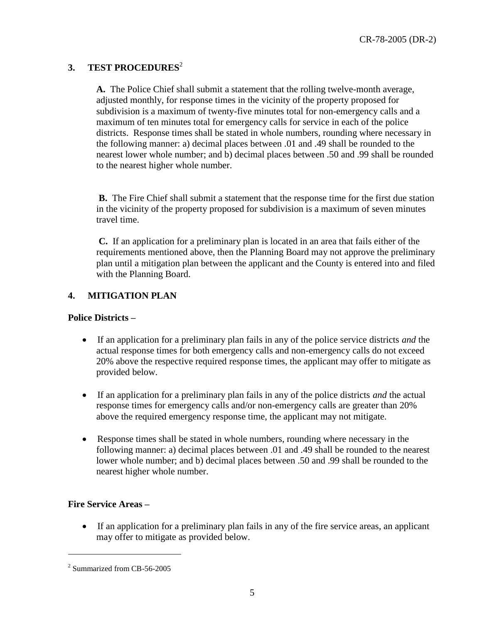## **3. TEST PROCEDURES**<sup>2</sup>

**A.** The Police Chief shall submit a statement that the rolling twelve-month average, adjusted monthly, for response times in the vicinity of the property proposed for subdivision is a maximum of twenty-five minutes total for non-emergency calls and a maximum of ten minutes total for emergency calls for service in each of the police districts. Response times shall be stated in whole numbers, rounding where necessary in the following manner: a) decimal places between .01 and .49 shall be rounded to the nearest lower whole number; and b) decimal places between .50 and .99 shall be rounded to the nearest higher whole number.

**B.** The Fire Chief shall submit a statement that the response time for the first due station in the vicinity of the property proposed for subdivision is a maximum of seven minutes travel time.

**C.** If an application for a preliminary plan is located in an area that fails either of the requirements mentioned above, then the Planning Board may not approve the preliminary plan until a mitigation plan between the applicant and the County is entered into and filed with the Planning Board.

## **4. MITIGATION PLAN**

#### **Police Districts –**

- If an application for a preliminary plan fails in any of the police service districts *and* the actual response times for both emergency calls and non-emergency calls do not exceed 20% above the respective required response times, the applicant may offer to mitigate as provided below.
- If an application for a preliminary plan fails in any of the police districts *and* the actual response times for emergency calls and/or non-emergency calls are greater than 20% above the required emergency response time, the applicant may not mitigate.
- Response times shall be stated in whole numbers, rounding where necessary in the following manner: a) decimal places between .01 and .49 shall be rounded to the nearest lower whole number; and b) decimal places between .50 and .99 shall be rounded to the nearest higher whole number.

#### **Fire Service Areas –**

 $\overline{a}$ 

If an application for a preliminary plan fails in any of the fire service areas, an applicant may offer to mitigate as provided below.

<sup>2</sup> Summarized from CB-56-2005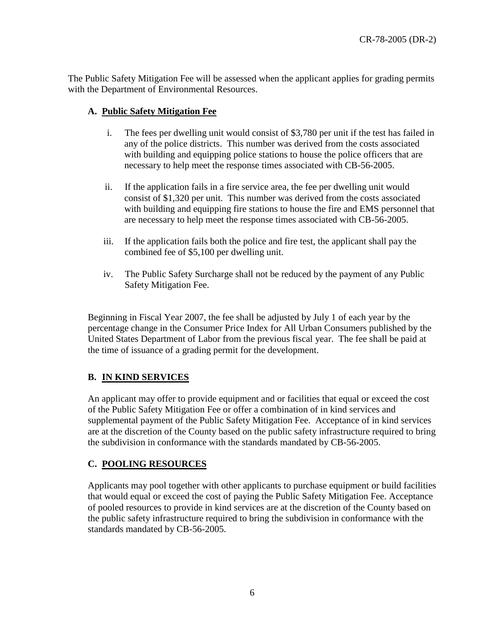The Public Safety Mitigation Fee will be assessed when the applicant applies for grading permits with the Department of Environmental Resources.

#### **A. Public Safety Mitigation Fee**

- i. The fees per dwelling unit would consist of \$3,780 per unit if the test has failed in any of the police districts. This number was derived from the costs associated with building and equipping police stations to house the police officers that are necessary to help meet the response times associated with CB-56-2005.
- ii. If the application fails in a fire service area, the fee per dwelling unit would consist of \$1,320 per unit. This number was derived from the costs associated with building and equipping fire stations to house the fire and EMS personnel that are necessary to help meet the response times associated with CB-56-2005.
- iii. If the application fails both the police and fire test, the applicant shall pay the combined fee of \$5,100 per dwelling unit.
- iv. The Public Safety Surcharge shall not be reduced by the payment of any Public Safety Mitigation Fee.

Beginning in Fiscal Year 2007, the fee shall be adjusted by July 1 of each year by the percentage change in the Consumer Price Index for All Urban Consumers published by the United States Department of Labor from the previous fiscal year. The fee shall be paid at the time of issuance of a grading permit for the development.

#### **B. IN KIND SERVICES**

An applicant may offer to provide equipment and or facilities that equal or exceed the cost of the Public Safety Mitigation Fee or offer a combination of in kind services and supplemental payment of the Public Safety Mitigation Fee. Acceptance of in kind services are at the discretion of the County based on the public safety infrastructure required to bring the subdivision in conformance with the standards mandated by CB-56-2005.

#### **C. POOLING RESOURCES**

Applicants may pool together with other applicants to purchase equipment or build facilities that would equal or exceed the cost of paying the Public Safety Mitigation Fee. Acceptance of pooled resources to provide in kind services are at the discretion of the County based on the public safety infrastructure required to bring the subdivision in conformance with the standards mandated by CB-56-2005.